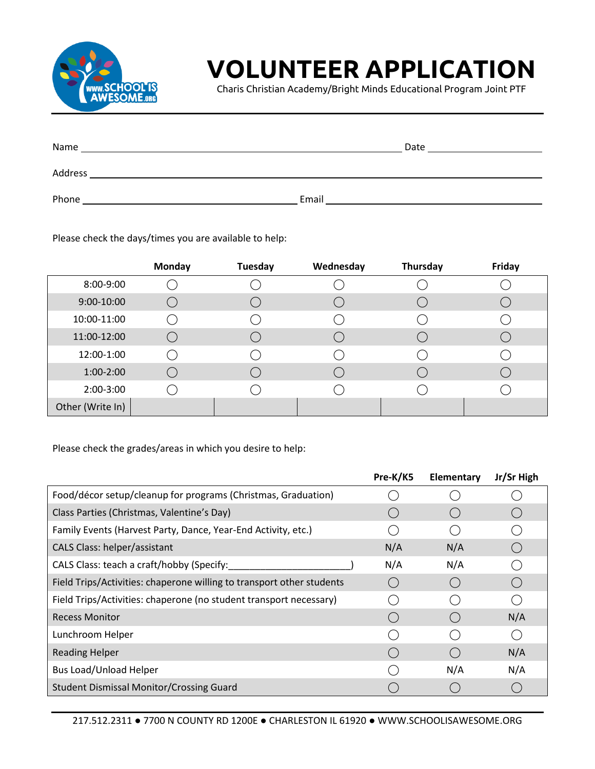

## **VOLUNTEER APPLICATION**

Charis Christian Academy/Bright Minds Educational Program Joint PTF

| Name    | Date  |
|---------|-------|
| Address |       |
| Phone   | Email |

Please check the days/times you are available to help:

|                  | <b>Monday</b> | Tuesday | Wednesday | Thursday | Friday |
|------------------|---------------|---------|-----------|----------|--------|
| 8:00-9:00        |               |         |           |          |        |
| 9:00-10:00       |               |         |           |          |        |
| 10:00-11:00      |               |         |           |          |        |
| 11:00-12:00      |               |         |           |          |        |
| 12:00-1:00       |               |         |           |          |        |
| $1:00-2:00$      |               |         |           |          |        |
| 2:00-3:00        |               |         |           |          |        |
| Other (Write In) |               |         |           |          |        |

Please check the grades/areas in which you desire to help:

|                                                                       | Pre-K/K5 | Elementary | Jr/Sr High |
|-----------------------------------------------------------------------|----------|------------|------------|
| Food/décor setup/cleanup for programs (Christmas, Graduation)         |          |            |            |
| Class Parties (Christmas, Valentine's Day)                            |          |            |            |
| Family Events (Harvest Party, Dance, Year-End Activity, etc.)         |          |            |            |
| CALS Class: helper/assistant                                          | N/A      | N/A        |            |
| CALS Class: teach a craft/hobby (Specify:                             | N/A      | N/A        |            |
| Field Trips/Activities: chaperone willing to transport other students |          |            |            |
| Field Trips/Activities: chaperone (no student transport necessary)    |          |            |            |
| <b>Recess Monitor</b>                                                 |          |            | N/A        |
| Lunchroom Helper                                                      |          |            |            |
| <b>Reading Helper</b>                                                 |          |            | N/A        |
| <b>Bus Load/Unload Helper</b>                                         |          | N/A        | N/A        |
| <b>Student Dismissal Monitor/Crossing Guard</b>                       |          |            |            |

217.512.2311 ● 7700 N COUNTY RD 1200E ● CHARLESTON IL 61920 ● WWW.SCHOOLISAWESOME.ORG